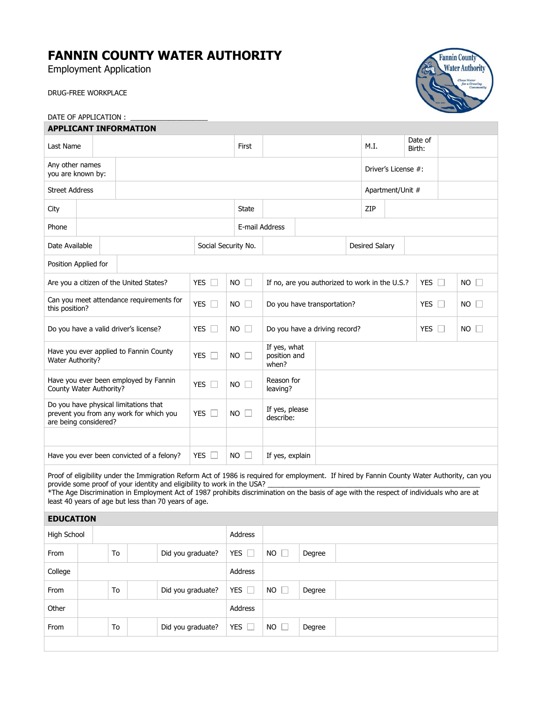# **FANNIN COUNTY WATER AUTHORITY**

Employment Application

DRUG-FREE WORKPLACE



#### DATE OF APPLICATION : **APPLICANT INFORMATION**

| Last Name                                                                                                                                                                                                                                                                                                                                                                                                                    |  |  |            |                     | First                                 |                                                |  |                       | M.I.       |                     | Date of<br>Birth: |            |             |
|------------------------------------------------------------------------------------------------------------------------------------------------------------------------------------------------------------------------------------------------------------------------------------------------------------------------------------------------------------------------------------------------------------------------------|--|--|------------|---------------------|---------------------------------------|------------------------------------------------|--|-----------------------|------------|---------------------|-------------------|------------|-------------|
| Any other names<br>you are known by:                                                                                                                                                                                                                                                                                                                                                                                         |  |  |            |                     |                                       |                                                |  |                       |            | Driver's License #: |                   |            |             |
| <b>Street Address</b>                                                                                                                                                                                                                                                                                                                                                                                                        |  |  |            |                     |                                       |                                                |  |                       |            | Apartment/Unit #    |                   |            |             |
| City                                                                                                                                                                                                                                                                                                                                                                                                                         |  |  |            |                     | <b>State</b>                          |                                                |  |                       | ZIP        |                     |                   |            |             |
| Phone                                                                                                                                                                                                                                                                                                                                                                                                                        |  |  |            | E-mail Address      |                                       |                                                |  |                       |            |                     |                   |            |             |
| Date Available                                                                                                                                                                                                                                                                                                                                                                                                               |  |  |            | Social Security No. |                                       |                                                |  | <b>Desired Salary</b> |            |                     |                   |            |             |
| Position Applied for                                                                                                                                                                                                                                                                                                                                                                                                         |  |  |            |                     |                                       |                                                |  |                       |            |                     |                   |            |             |
| Are you a citizen of the United States?                                                                                                                                                                                                                                                                                                                                                                                      |  |  |            | YES $\Box$          | $NO$ $\Box$                           | If no, are you authorized to work in the U.S.? |  |                       |            |                     |                   | YES $\Box$ | $NO$ $\Box$ |
| Can you meet attendance requirements for<br>this position?                                                                                                                                                                                                                                                                                                                                                                   |  |  | YES $\Box$ | $NO$ $\Box$         | Do you have transportation?           |                                                |  |                       | YES $\Box$ |                     | NO                |            |             |
| Do you have a valid driver's license?                                                                                                                                                                                                                                                                                                                                                                                        |  |  | YES $\Box$ | $NO$ $\Box$         | Do you have a driving record?         |                                                |  | YES $\Box$            |            | <b>NO</b>           |                   |            |             |
| Have you ever applied to Fannin County<br>Water Authority?                                                                                                                                                                                                                                                                                                                                                                   |  |  | YES $\Box$ | $NO$ $\Box$         | If yes, what<br>position and<br>when? |                                                |  |                       |            |                     |                   |            |             |
| Have you ever been employed by Fannin<br>County Water Authority?                                                                                                                                                                                                                                                                                                                                                             |  |  |            | YES $\Box$          | <b>NO</b>                             | Reason for<br>leaving?                         |  |                       |            |                     |                   |            |             |
| Do you have physical limitations that<br>prevent you from any work for which you<br>are being considered?                                                                                                                                                                                                                                                                                                                    |  |  | YES $\Box$ | <b>NO</b>           | If yes, please<br>describe:           |                                                |  |                       |            |                     |                   |            |             |
|                                                                                                                                                                                                                                                                                                                                                                                                                              |  |  |            |                     |                                       |                                                |  |                       |            |                     |                   |            |             |
| YES $\Box$<br>$NO \Box$<br>Have you ever been convicted of a felony?                                                                                                                                                                                                                                                                                                                                                         |  |  |            |                     |                                       | If yes, explain                                |  |                       |            |                     |                   |            |             |
| Proof of eligibility under the Immigration Reform Act of 1986 is required for employment. If hired by Fannin County Water Authority, can you<br>provide some proof of your identity and eligibility to work in the USA?<br>*The Age Discrimination in Employment Act of 1987 prohibits discrimination on the basis of age with the respect of individuals who are at<br>least 40 years of age but less than 70 years of age. |  |  |            |                     |                                       |                                                |  |                       |            |                     |                   |            |             |

## **EDUCATION**

| High School |    |                   | Address       |              |        |
|-------------|----|-------------------|---------------|--------------|--------|
| From        | To | Did you graduate? | YES $\Box$    | $NO \Box$    | Degree |
| College     |    |                   | Address       |              |        |
| From        | To | Did you graduate? | YES $\square$ | $NO \square$ | Degree |
| Other       |    |                   | Address       |              |        |
| From        | To | Did you graduate? | YES $\square$ | $NO \square$ | Degree |
|             |    |                   |               |              |        |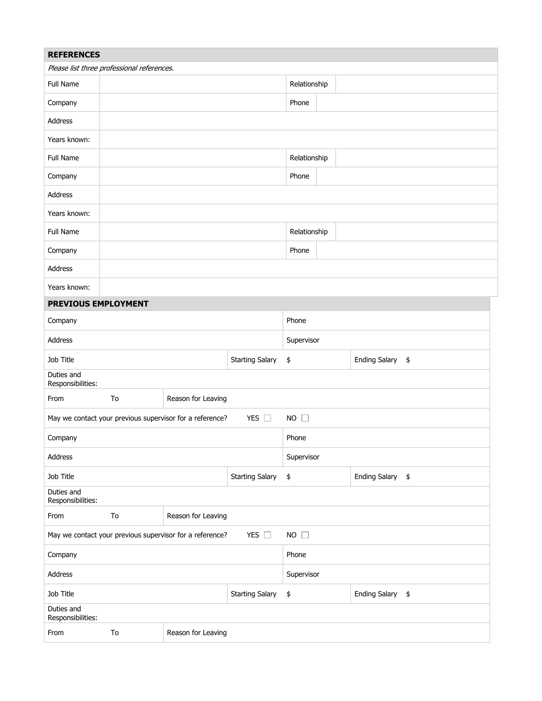| <b>REFERENCES</b>               |                                            |                                                          |                        |              |                      |               |
|---------------------------------|--------------------------------------------|----------------------------------------------------------|------------------------|--------------|----------------------|---------------|
|                                 | Please list three professional references. |                                                          |                        |              |                      |               |
| Full Name                       |                                            |                                                          |                        | Relationship |                      |               |
| Company                         |                                            |                                                          |                        | Phone        |                      |               |
| Address                         |                                            |                                                          |                        |              |                      |               |
| Years known:                    |                                            |                                                          |                        |              |                      |               |
| Full Name                       |                                            |                                                          |                        | Relationship |                      |               |
| Company                         |                                            |                                                          |                        | Phone        |                      |               |
| Address                         |                                            |                                                          |                        |              |                      |               |
| Years known:                    |                                            |                                                          |                        |              |                      |               |
| Full Name                       |                                            |                                                          |                        | Relationship |                      |               |
| Company                         |                                            |                                                          |                        | Phone        |                      |               |
| Address                         |                                            |                                                          |                        |              |                      |               |
| Years known:                    |                                            |                                                          |                        |              |                      |               |
| PREVIOUS EMPLOYMENT             |                                            |                                                          |                        |              |                      |               |
| Company                         |                                            |                                                          |                        | Phone        |                      |               |
| Address                         |                                            |                                                          |                        | Supervisor   |                      |               |
| Job Title                       |                                            |                                                          | <b>Starting Salary</b> | \$           | <b>Ending Salary</b> | $\frac{1}{2}$ |
| Duties and<br>Responsibilities: |                                            |                                                          |                        |              |                      |               |
| From                            | To                                         | Reason for Leaving                                       |                        |              |                      |               |
|                                 |                                            | May we contact your previous supervisor for a reference? | YES $\square$          | $NO$ $\Box$  |                      |               |
| Company                         |                                            |                                                          |                        | Phone        |                      |               |
| Address                         |                                            |                                                          |                        | Supervisor   |                      |               |
| Job Title                       |                                            |                                                          | <b>Starting Salary</b> | \$           | Ending Salary \$     |               |
| Duties and<br>Responsibilities: |                                            |                                                          |                        |              |                      |               |
| From                            | To                                         | Reason for Leaving                                       |                        |              |                      |               |
|                                 |                                            | May we contact your previous supervisor for a reference? | YES $\Box$             | $NO$ $\Box$  |                      |               |
| Company                         |                                            |                                                          |                        | Phone        |                      |               |
| Address                         |                                            |                                                          |                        | Supervisor   |                      |               |
| Job Title                       |                                            |                                                          | <b>Starting Salary</b> | \$           | Ending Salary \$     |               |
| Duties and<br>Responsibilities: |                                            |                                                          |                        |              |                      |               |
| From                            | To                                         | Reason for Leaving                                       |                        |              |                      |               |